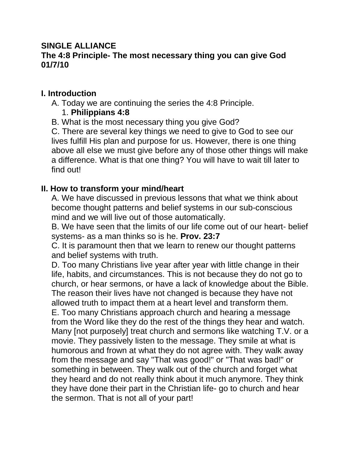## **SINGLE ALLIANCE The 4:8 Principle- The most necessary thing you can give God 01/7/10**

## **I. Introduction**

A. Today we are continuing the series the 4:8 Principle.

## 1. **Philippians 4:8**

B. What is the most necessary thing you give God?

C. There are several key things we need to give to God to see our lives fulfill His plan and purpose for us. However, there is one thing above all else we must give before any of those other things will make a difference. What is that one thing? You will have to wait till later to find out!

## **II. How to transform your mind/heart**

A. We have discussed in previous lessons that what we think about become thought patterns and belief systems in our sub-conscious mind and we will live out of those automatically.

B. We have seen that the limits of our life come out of our heart- belief systems- as a man thinks so is he. **Prov. 23:7**

C. It is paramount then that we learn to renew our thought patterns and belief systems with truth.

D. Too many Christians live year after year with little change in their life, habits, and circumstances. This is not because they do not go to church, or hear sermons, or have a lack of knowledge about the Bible. The reason their lives have not changed is because they have not allowed truth to impact them at a heart level and transform them. E. Too many Christians approach church and hearing a message from the Word like they do the rest of the things they hear and watch. Many [not purposely] treat church and sermons like watching T.V. or a movie. They passively listen to the message. They smile at what is humorous and frown at what they do not agree with. They walk away from the message and say "That was good!" or "That was bad!" or something in between. They walk out of the church and forget what they heard and do not really think about it much anymore. They think they have done their part in the Christian life- go to church and hear the sermon. That is not all of your part!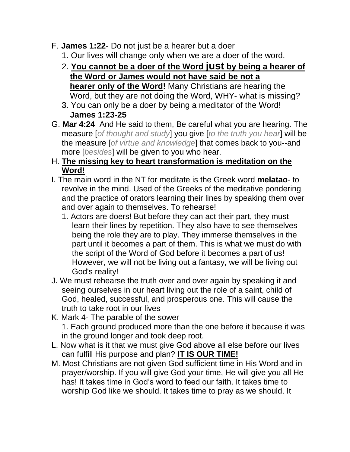- F. **James 1:22** Do not just be a hearer but a doer
	- 1. Our lives will change only when we are a doer of the word.
	- 2. **You cannot be a doer of the Word just by being a hearer of the Word or James would not have said be not a hearer only of the Word!** Many Christians are hearing the Word, but they are not doing the Word, WHY- what is missing?
	- 3. You can only be a doer by being a meditator of the Word! **James 1:23-25**
- G. **Mar 4:24** And He said to them, Be careful what you are hearing. The measure [*of thought and study*] you give [*to the truth you hear*] will be the measure [*of virtue and knowledge*] that comes back to you--and more [*besides*] will be given to you who hear.
- H. **The missing key to heart transformation is meditation on the Word!**
- I. The main word in the NT for meditate is the Greek word **melatao** to revolve in the mind. Used of the Greeks of the meditative pondering and the practice of orators learning their lines by speaking them over and over again to themselves. To rehearse!
	- 1. Actors are doers! But before they can act their part, they must learn their lines by repetition. They also have to see themselves being the role they are to play. They immerse themselves in the part until it becomes a part of them. This is what we must do with the script of the Word of God before it becomes a part of us! However, we will not be living out a fantasy, we will be living out God's reality!
- J. We must rehearse the truth over and over again by speaking it and seeing ourselves in our heart living out the role of a saint, child of God, healed, successful, and prosperous one. This will cause the truth to take root in our lives
- K. Mark 4- The parable of the sower
	- 1. Each ground produced more than the one before it because it was in the ground longer and took deep root.
- L. Now what is it that we must give God above all else before our lives can fulfill His purpose and plan? **IT IS OUR TIME!**
- M. Most Christians are not given God sufficient time in His Word and in prayer/worship. If you will give God your time, He will give you all He has! It takes time in God's word to feed our faith. It takes time to worship God like we should. It takes time to pray as we should. It